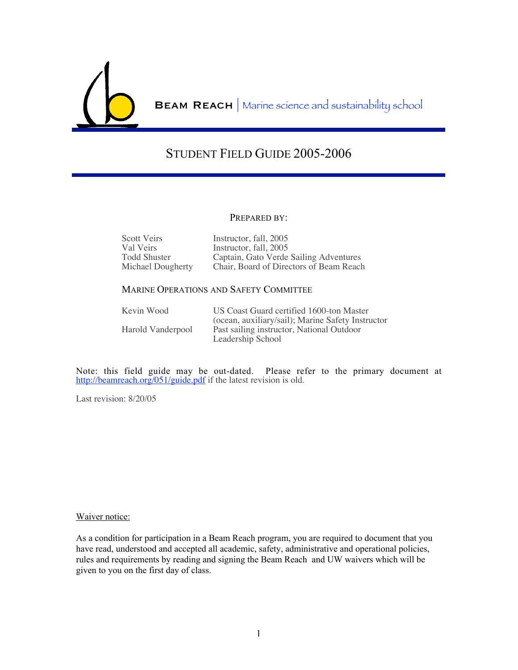

BEAM REACH | Marine science and sustainability school

# STUDENT FIELD GUIDE 2005-2006

#### PREPARED BY:

| Scott Veirs       | Instructor, fall, 2005                  |
|-------------------|-----------------------------------------|
| Val Veirs         | Instructor, fall, 2005                  |
| Todd Shuster      | Captain, Gato Verde Sailing Adventures  |
| Michael Dougherty | Chair, Board of Directors of Beam Reach |

## MARINE OPERATIONS AND SAFETY COMMITTEE

| Kevin Wood        | US Coast Guard certified 1600-ton Master          |
|-------------------|---------------------------------------------------|
|                   | (ocean, auxiliary/sail); Marine Safety Instructor |
| Harold Vanderpool | Past sailing instructor, National Outdoor         |
|                   | Leadership School                                 |

Note: this field guide may be out-dated. Please refer to the primary document at http://beamreach.org/051/guide.pdf if the latest revision is old.

Last revision: 8/20/05

#### Waiver notice:

As a condition for participation in a Beam Reach program, you are required to document that you have read, understood and accepted all academic, safety, administrative and operational policies, rules and requirements by reading and signing the Beam Reach and UW waivers which will be given to you on the first day of class.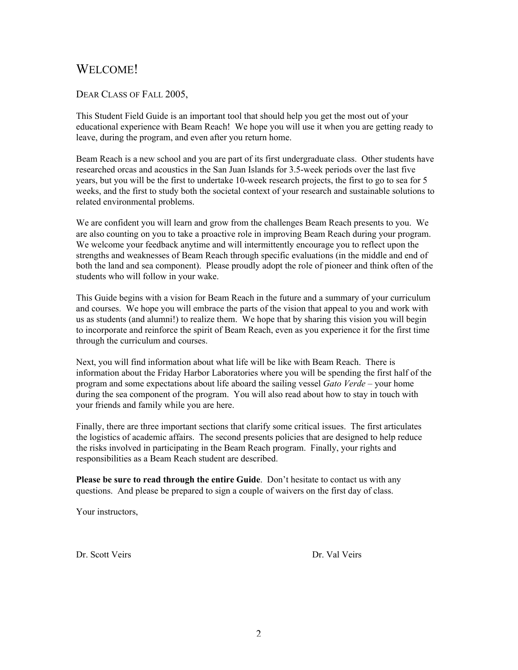# WELCOME!

## DEAR CLASS OF FALL 2005,

This Student Field Guide is an important tool that should help you get the most out of your educational experience with Beam Reach! We hope you will use it when you are getting ready to leave, during the program, and even after you return home.

Beam Reach is a new school and you are part of its first undergraduate class. Other students have researched orcas and acoustics in the San Juan Islands for 3.5-week periods over the last five years, but you will be the first to undertake 10-week research projects, the first to go to sea for 5 weeks, and the first to study both the societal context of your research and sustainable solutions to related environmental problems.

We are confident you will learn and grow from the challenges Beam Reach presents to you. We are also counting on you to take a proactive role in improving Beam Reach during your program. We welcome your feedback anytime and will intermittently encourage you to reflect upon the strengths and weaknesses of Beam Reach through specific evaluations (in the middle and end of both the land and sea component). Please proudly adopt the role of pioneer and think often of the students who will follow in your wake.

This Guide begins with a vision for Beam Reach in the future and a summary of your curriculum and courses. We hope you will embrace the parts of the vision that appeal to you and work with us as students (and alumni!) to realize them. We hope that by sharing this vision you will begin to incorporate and reinforce the spirit of Beam Reach, even as you experience it for the first time through the curriculum and courses.

Next, you will find information about what life will be like with Beam Reach. There is information about the Friday Harbor Laboratories where you will be spending the first half of the program and some expectations about life aboard the sailing vessel *Gato Verde* – your home during the sea component of the program. You will also read about how to stay in touch with your friends and family while you are here.

Finally, there are three important sections that clarify some critical issues. The first articulates the logistics of academic affairs. The second presents policies that are designed to help reduce the risks involved in participating in the Beam Reach program. Finally, your rights and responsibilities as a Beam Reach student are described.

Please be sure to read through the entire Guide. Don't hesitate to contact us with any questions. And please be prepared to sign a couple of waivers on the first day of class.

Your instructors,

Dr. Scott Veirs Dr. Val Veirs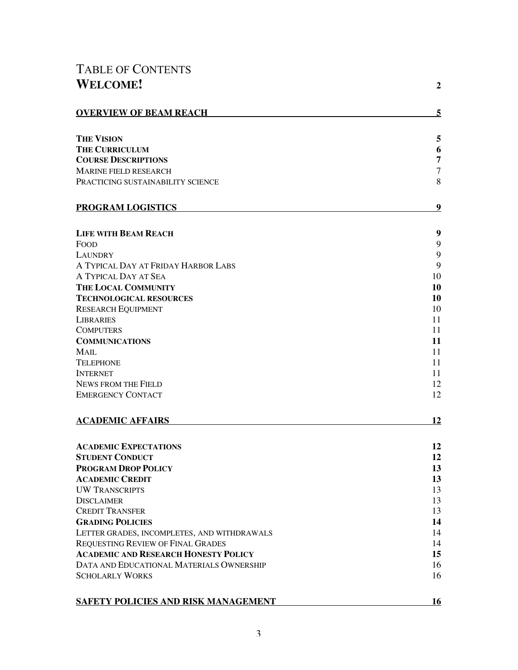# TABLE OF CONTENTS **WELCOME! <sup>2</sup>**

| <b>OVERVIEW OF BEAM REACH</b>               | 5              |
|---------------------------------------------|----------------|
| <b>THE VISION</b>                           | 5              |
| <b>THE CURRICULUM</b>                       | 6              |
| <b>COURSE DESCRIPTIONS</b>                  | $\overline{7}$ |
| <b>MARINE FIELD RESEARCH</b>                | $\overline{7}$ |
| PRACTICING SUSTAINABILITY SCIENCE           | 8              |
| <b>PROGRAM LOGISTICS</b>                    | 9              |
| <b>LIFE WITH BEAM REACH</b>                 | 9              |
| <b>FOOD</b>                                 | 9              |
| <b>LAUNDRY</b>                              | 9              |
| A TYPICAL DAY AT FRIDAY HARBOR LABS         | 9              |
| A TYPICAL DAY AT SEA                        | 10             |
| THE LOCAL COMMUNITY                         | 10             |
| <b>TECHNOLOGICAL RESOURCES</b>              | 10             |
| <b>RESEARCH EQUIPMENT</b>                   | 10             |
| <b>LIBRARIES</b>                            | 11             |
| <b>COMPUTERS</b>                            | 11<br>11       |
| <b>COMMUNICATIONS</b><br><b>MAIL</b>        | 11             |
| <b>TELEPHONE</b>                            | 11             |
| <b>INTERNET</b>                             | 11             |
| <b>NEWS FROM THE FIELD</b>                  | 12             |
| <b>EMERGENCY CONTACT</b>                    | 12             |
| <b>ACADEMIC AFFAIRS</b>                     | 12             |
| <b>ACADEMIC EXPECTATIONS</b>                | 12             |
| <b>STUDENT CONDUCT</b>                      | 12             |
| <b>PROGRAM DROP POLICY</b>                  | 13             |
| <b>ACADEMIC CREDIT</b>                      | 13             |
| <b>UW TRANSCRIPTS</b>                       | 13             |
| <b>DISCLAIMER</b>                           | 13             |
| <b>CREDIT TRANSFER</b>                      | 13             |
| <b>GRADING POLICIES</b>                     | 14             |
| LETTER GRADES, INCOMPLETES, AND WITHDRAWALS | 14             |
| REQUESTING REVIEW OF FINAL GRADES           | 14             |
| <b>ACADEMIC AND RESEARCH HONESTY POLICY</b> | 15             |
| DATA AND EDUCATIONAL MATERIALS OWNERSHIP    | 16             |
| <b>SCHOLARLY WORKS</b>                      | 16             |
| <b>SAFETY POLICIES AND RISK MANAGEMENT</b>  | 16             |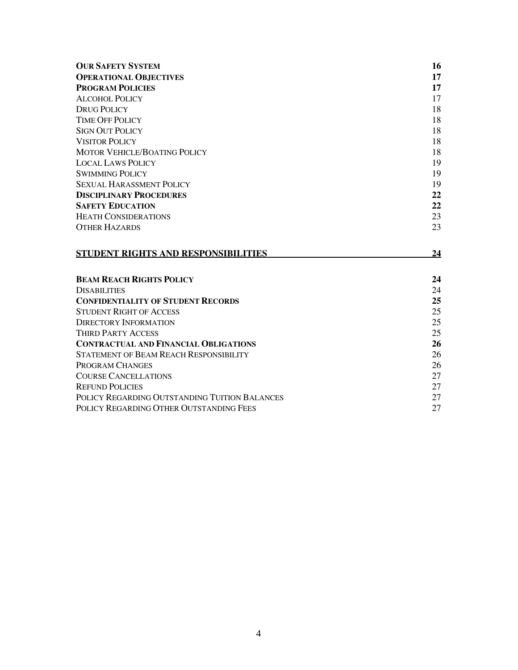| <b>OUR SAFETY SYSTEM</b>                      | 16 |
|-----------------------------------------------|----|
| <b>OPERATIONAL OBJECTIVES</b>                 | 17 |
| <b>PROGRAM POLICIES</b>                       | 17 |
| ALCOHOL POLICY                                | 17 |
| <b>DRUG POLICY</b>                            | 18 |
| <b>TIME OFF POLICY</b>                        | 18 |
| <b>SIGN OUT POLICY</b>                        | 18 |
| <b>VISITOR POLICY</b>                         | 18 |
| MOTOR VEHICLE/BOATING POLICY                  | 18 |
| <b>LOCAL LAWS POLICY</b>                      | 19 |
| <b>SWIMMING POLICY</b>                        | 19 |
| <b>SEXUAL HARASSMENT POLICY</b>               | 19 |
| <b>DISCIPLINARY PROCEDURES</b>                | 22 |
| <b>SAFETY EDUCATION</b>                       | 22 |
| <b>HEATH CONSIDERATIONS</b>                   | 23 |
| <b>OTHER HAZARDS</b>                          | 23 |
|                                               |    |
| STUDENT RIGHTS AND RESPONSIBILITIES           | 24 |
| <b>BEAM REACH RIGHTS POLICY</b>               | 24 |
| <b>DISABILITIES</b>                           | 24 |
| <b>CONFIDENTIALITY OF STUDENT RECORDS</b>     | 25 |
| <b>STUDENT RIGHT OF ACCESS</b>                | 25 |
| <b>DIRECTORY INFORMATION</b>                  | 25 |
| <b>THIRD PARTY ACCESS</b>                     | 25 |
| <b>CONTRACTUAL AND FINANCIAL OBLIGATIONS</b>  | 26 |
| <b>STATEMENT OF BEAM REACH RESPONSIBILITY</b> | 26 |
| PROGRAM CHANGES                               | 26 |
| <b>COURSE CANCELLATIONS</b>                   | 27 |
| <b>REFUND POLICIES</b>                        | 27 |
| POLICY REGARDING OUTSTANDING TUITION BALANCES | 27 |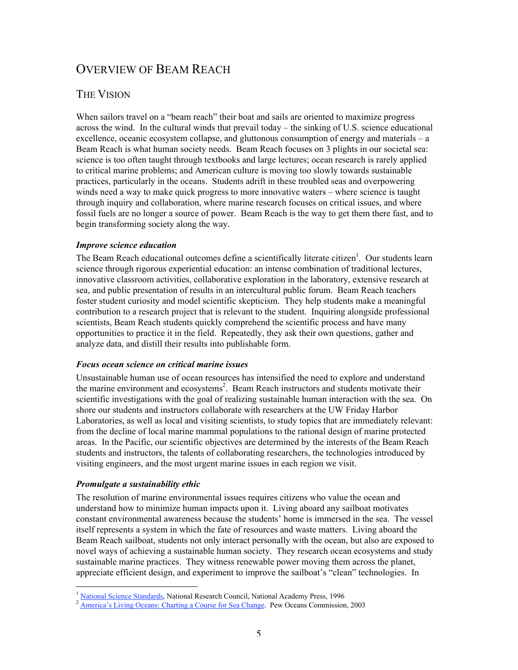# OVERVIEW OF BEAM REACH

## THE VISION

When sailors travel on a "beam reach" their boat and sails are oriented to maximize progress across the wind. In the cultural winds that prevail today – the sinking of U.S. science educational excellence, oceanic ecosystem collapse, and gluttonous consumption of energy and materials – a Beam Reach is what human society needs. Beam Reach focuses on 3 plights in our societal sea: science is too often taught through textbooks and large lectures; ocean research is rarely applied to critical marine problems; and American culture is moving too slowly towards sustainable practices, particularly in the oceans. Students adrift in these troubled seas and overpowering winds need a way to make quick progress to more innovative waters – where science is taught through inquiry and collaboration, where marine research focuses on critical issues, and where fossil fuels are no longer a source of power. Beam Reach is the way to get them there fast, and to begin transforming society along the way.

## *Improve science education*

The Beam Reach educational outcomes define a scientifically literate citizen<sup>1</sup>. Our students learn science through rigorous experiential education: an intense combination of traditional lectures, innovative classroom activities, collaborative exploration in the laboratory, extensive research at sea, and public presentation of results in an intercultural public forum. Beam Reach teachers foster student curiosity and model scientific skepticism. They help students make a meaningful contribution to a research project that is relevant to the student. Inquiring alongside professional scientists, Beam Reach students quickly comprehend the scientific process and have many opportunities to practice it in the field. Repeatedly, they ask their own questions, gather and analyze data, and distill their results into publishable form.

#### *Focus ocean science on critical marine issues*

Unsustainable human use of ocean resources has intensified the need to explore and understand the marine environment and ecosystems<sup>2</sup>. Beam Reach instructors and students motivate their scientific investigations with the goal of realizing sustainable human interaction with the sea. On shore our students and instructors collaborate with researchers at the UW Friday Harbor Laboratories, as well as local and visiting scientists, to study topics that are immediately relevant: from the decline of local marine mammal populations to the rational design of marine protected areas. In the Pacific, our scientific objectives are determined by the interests of the Beam Reach students and instructors, the talents of collaborating researchers, the technologies introduced by visiting engineers, and the most urgent marine issues in each region we visit.

## *Promulgate a sustainability ethic*

The resolution of marine environmental issues requires citizens who value the ocean and understand how to minimize human impacts upon it. Living aboard any sailboat motivates constant environmental awareness because the students' home is immersed in the sea. The vessel itself represents a system in which the fate of resources and waste matters. Living aboard the Beam Reach sailboat, students not only interact personally with the ocean, but also are exposed to novel ways of achieving a sustainable human society. They research ocean ecosystems and study sustainable marine practices. They witness renewable power moving them across the planet, appreciate efficient design, and experiment to improve the sailboat's "clean" technologies. In

 $\frac{1}{2}$  National Science Standards, National Research Council, National Academy Press, 1996<br>  $\frac{1}{2}$  America's Living Oceans: Charting a Course for Sea Change. Pew Oceans Commission, 2003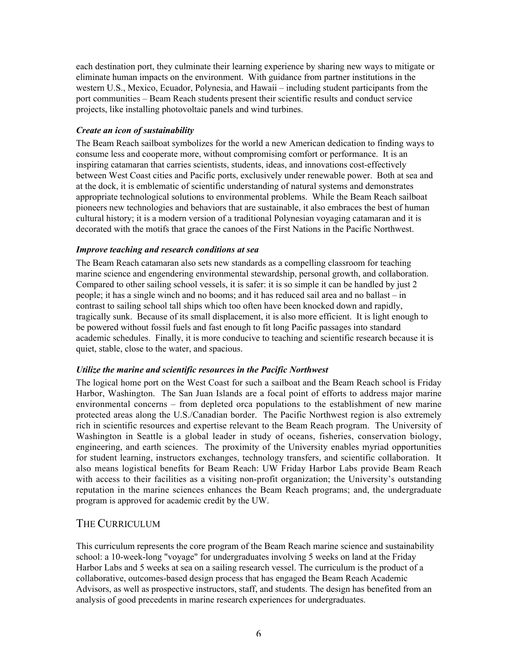each destination port, they culminate their learning experience by sharing new ways to mitigate or eliminate human impacts on the environment. With guidance from partner institutions in the western U.S., Mexico, Ecuador, Polynesia, and Hawaii – including student participants from the port communities – Beam Reach students present their scientific results and conduct service projects, like installing photovoltaic panels and wind turbines.

## *Create an icon of sustainability*

The Beam Reach sailboat symbolizes for the world a new American dedication to finding ways to consume less and cooperate more, without compromising comfort or performance. It is an inspiring catamaran that carries scientists, students, ideas, and innovations cost-effectively between West Coast cities and Pacific ports, exclusively under renewable power. Both at sea and at the dock, it is emblematic of scientific understanding of natural systems and demonstrates appropriate technological solutions to environmental problems. While the Beam Reach sailboat pioneers new technologies and behaviors that are sustainable, it also embraces the best of human cultural history; it is a modern version of a traditional Polynesian voyaging catamaran and it is decorated with the motifs that grace the canoes of the First Nations in the Pacific Northwest.

## *Improve teaching and research conditions at sea*

The Beam Reach catamaran also sets new standards as a compelling classroom for teaching marine science and engendering environmental stewardship, personal growth, and collaboration. Compared to other sailing school vessels, it is safer: it is so simple it can be handled by just 2 people; it has a single winch and no booms; and it has reduced sail area and no ballast – in contrast to sailing school tall ships which too often have been knocked down and rapidly, tragically sunk. Because of its small displacement, it is also more efficient. It is light enough to be powered without fossil fuels and fast enough to fit long Pacific passages into standard academic schedules. Finally, it is more conducive to teaching and scientific research because it is quiet, stable, close to the water, and spacious.

## *Utilize the marine and scientific resources in the Pacific Northwest*

The logical home port on the West Coast for such a sailboat and the Beam Reach school is Friday Harbor, Washington. The San Juan Islands are a focal point of efforts to address major marine environmental concerns – from depleted orca populations to the establishment of new marine protected areas along the U.S./Canadian border. The Pacific Northwest region is also extremely rich in scientific resources and expertise relevant to the Beam Reach program. The University of Washington in Seattle is a global leader in study of oceans, fisheries, conservation biology, engineering, and earth sciences. The proximity of the University enables myriad opportunities for student learning, instructors exchanges, technology transfers, and scientific collaboration. It also means logistical benefits for Beam Reach: UW Friday Harbor Labs provide Beam Reach with access to their facilities as a visiting non-profit organization; the University's outstanding reputation in the marine sciences enhances the Beam Reach programs; and, the undergraduate program is approved for academic credit by the UW.

## THE CURRICULUM

This curriculum represents the core program of the Beam Reach marine science and sustainability school: a 10-week-long "voyage" for undergraduates involving 5 weeks on land at the Friday Harbor Labs and 5 weeks at sea on a sailing research vessel. The curriculum is the product of a collaborative, outcomes-based design process that has engaged the Beam Reach Academic Advisors, as well as prospective instructors, staff, and students. The design has benefited from an analysis of good precedents in marine research experiences for undergraduates.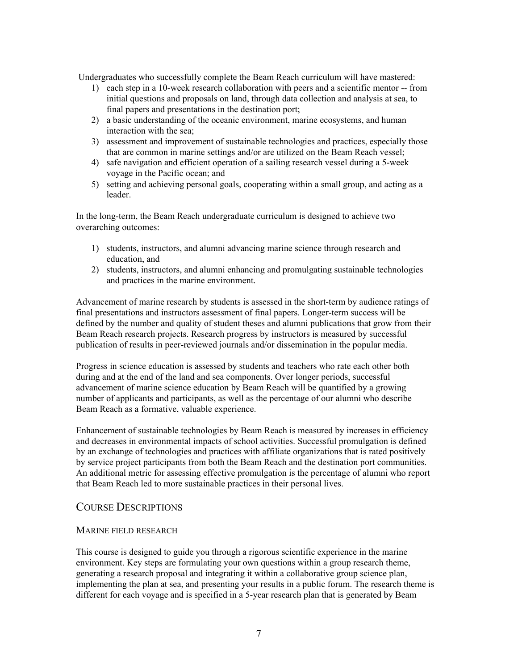Undergraduates who successfully complete the Beam Reach curriculum will have mastered:

- 1) each step in a 10-week research collaboration with peers and a scientific mentor -- from initial questions and proposals on land, through data collection and analysis at sea, to final papers and presentations in the destination port;
- 2) a basic understanding of the oceanic environment, marine ecosystems, and human interaction with the sea;
- 3) assessment and improvement of sustainable technologies and practices, especially those that are common in marine settings and/or are utilized on the Beam Reach vessel;
- 4) safe navigation and efficient operation of a sailing research vessel during a 5-week voyage in the Pacific ocean; and
- 5) setting and achieving personal goals, cooperating within a small group, and acting as a leader.

In the long-term, the Beam Reach undergraduate curriculum is designed to achieve two overarching outcomes:

- 1) students, instructors, and alumni advancing marine science through research and education, and
- 2) students, instructors, and alumni enhancing and promulgating sustainable technologies and practices in the marine environment.

Advancement of marine research by students is assessed in the short-term by audience ratings of final presentations and instructors assessment of final papers. Longer-term success will be defined by the number and quality of student theses and alumni publications that grow from their Beam Reach research projects. Research progress by instructors is measured by successful publication of results in peer-reviewed journals and/or dissemination in the popular media.

Progress in science education is assessed by students and teachers who rate each other both during and at the end of the land and sea components. Over longer periods, successful advancement of marine science education by Beam Reach will be quantified by a growing number of applicants and participants, as well as the percentage of our alumni who describe Beam Reach as a formative, valuable experience.

Enhancement of sustainable technologies by Beam Reach is measured by increases in efficiency and decreases in environmental impacts of school activities. Successful promulgation is defined by an exchange of technologies and practices with affiliate organizations that is rated positively by service project participants from both the Beam Reach and the destination port communities. An additional metric for assessing effective promulgation is the percentage of alumni who report that Beam Reach led to more sustainable practices in their personal lives.

## COURSE DESCRIPTIONS

## MARINE FIELD RESEARCH

This course is designed to guide you through a rigorous scientific experience in the marine environment. Key steps are formulating your own questions within a group research theme, generating a research proposal and integrating it within a collaborative group science plan, implementing the plan at sea, and presenting your results in a public forum. The research theme is different for each voyage and is specified in a 5-year research plan that is generated by Beam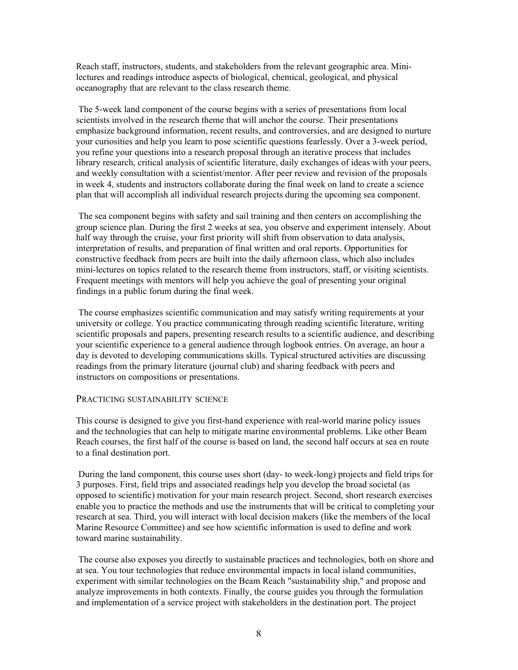Reach staff, instructors, students, and stakeholders from the relevant geographic area. Minilectures and readings introduce aspects of biological, chemical, geological, and physical oceanography that are relevant to the class research theme.

 The 5-week land component of the course begins with a series of presentations from local scientists involved in the research theme that will anchor the course. Their presentations emphasize background information, recent results, and controversies, and are designed to nurture your curiosities and help you learn to pose scientific questions fearlessly. Over a 3-week period, you refine your questions into a research proposal through an iterative process that includes library research, critical analysis of scientific literature, daily exchanges of ideas with your peers, and weekly consultation with a scientist/mentor. After peer review and revision of the proposals in week 4, students and instructors collaborate during the final week on land to create a science plan that will accomplish all individual research projects during the upcoming sea component.

 The sea component begins with safety and sail training and then centers on accomplishing the group science plan. During the first 2 weeks at sea, you observe and experiment intensely. About half way through the cruise, your first priority will shift from observation to data analysis, interpretation of results, and preparation of final written and oral reports. Opportunities for constructive feedback from peers are built into the daily afternoon class, which also includes mini-lectures on topics related to the research theme from instructors, staff, or visiting scientists. Frequent meetings with mentors will help you achieve the goal of presenting your original findings in a public forum during the final week.

 The course emphasizes scientific communication and may satisfy writing requirements at your university or college. You practice communicating through reading scientific literature, writing scientific proposals and papers, presenting research results to a scientific audience, and describing your scientific experience to a general audience through logbook entries. On average, an hour a day is devoted to developing communications skills. Typical structured activities are discussing readings from the primary literature (journal club) and sharing feedback with peers and instructors on compositions or presentations.

#### PRACTICING SUSTAINABILITY SCIENCE

This course is designed to give you first-hand experience with real-world marine policy issues and the technologies that can help to mitigate marine environmental problems. Like other Beam Reach courses, the first half of the course is based on land, the second half occurs at sea en route to a final destination port.

 During the land component, this course uses short (day- to week-long) projects and field trips for 3 purposes. First, field trips and associated readings help you develop the broad societal (as opposed to scientific) motivation for your main research project. Second, short research exercises enable you to practice the methods and use the instruments that will be critical to completing your research at sea. Third, you will interact with local decision makers (like the members of the local Marine Resource Committee) and see how scientific information is used to define and work toward marine sustainability.

 The course also exposes you directly to sustainable practices and technologies, both on shore and at sea. You tour technologies that reduce environmental impacts in local island communities, experiment with similar technologies on the Beam Reach "sustainability ship," and propose and analyze improvements in both contexts. Finally, the course guides you through the formulation and implementation of a service project with stakeholders in the destination port. The project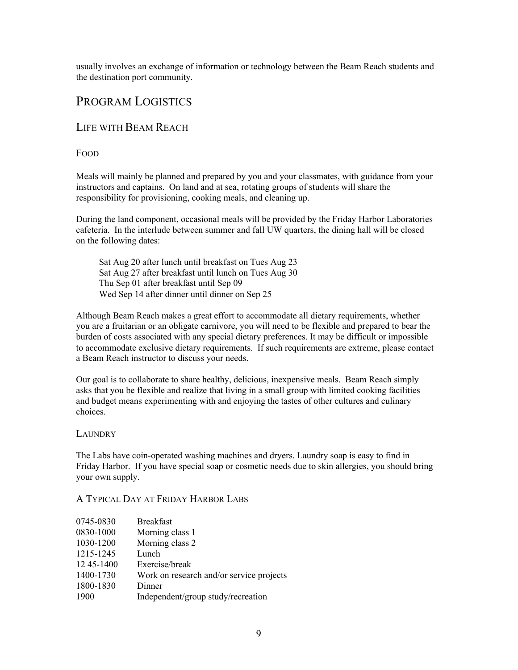usually involves an exchange of information or technology between the Beam Reach students and the destination port community.

# PROGRAM LOGISTICS

## LIFE WITH BEAM REACH

## FOOD

Meals will mainly be planned and prepared by you and your classmates, with guidance from your instructors and captains. On land and at sea, rotating groups of students will share the responsibility for provisioning, cooking meals, and cleaning up.

During the land component, occasional meals will be provided by the Friday Harbor Laboratories cafeteria. In the interlude between summer and fall UW quarters, the dining hall will be closed on the following dates:

Sat Aug 20 after lunch until breakfast on Tues Aug 23 Sat Aug 27 after breakfast until lunch on Tues Aug 30 Thu Sep 01 after breakfast until Sep 09 Wed Sep 14 after dinner until dinner on Sep 25

Although Beam Reach makes a great effort to accommodate all dietary requirements, whether you are a fruitarian or an obligate carnivore, you will need to be flexible and prepared to bear the burden of costs associated with any special dietary preferences. It may be difficult or impossible to accommodate exclusive dietary requirements. If such requirements are extreme, please contact a Beam Reach instructor to discuss your needs.

Our goal is to collaborate to share healthy, delicious, inexpensive meals. Beam Reach simply asks that you be flexible and realize that living in a small group with limited cooking facilities and budget means experimenting with and enjoying the tastes of other cultures and culinary choices.

## LAUNDRY

The Labs have coin-operated washing machines and dryers. Laundry soap is easy to find in Friday Harbor. If you have special soap or cosmetic needs due to skin allergies, you should bring your own supply.

## A TYPICAL DAY AT FRIDAY HARBOR LABS

| 0745-0830    | <b>Breakfast</b>                         |
|--------------|------------------------------------------|
| 0830-1000    | Morning class 1                          |
| 1030-1200    | Morning class 2                          |
| 1215-1245    | Lunch                                    |
| 12 45 - 1400 | Exercise/break                           |
| 1400-1730    | Work on research and/or service projects |
| 1800-1830    | Dinner                                   |
| 1900         | Independent/group study/recreation       |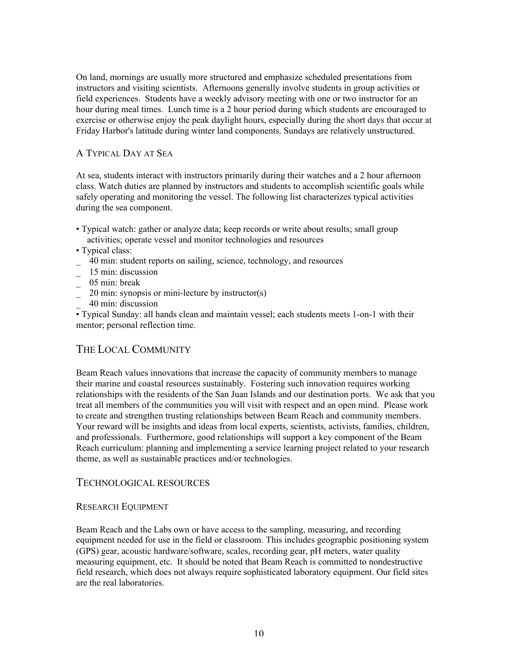On land, mornings are usually more structured and emphasize scheduled presentations from instructors and visiting scientists. Afternoons generally involve students in group activities or field experiences. Students have a weekly advisory meeting with one or two instructor for an hour during meal times. Lunch time is a 2 hour period during which students are encouraged to exercise or otherwise enjoy the peak daylight hours, especially during the short days that occur at Friday Harbor's latitude during winter land components. Sundays are relatively unstructured.

## A TYPICAL DAY AT SEA

At sea, students interact with instructors primarily during their watches and a 2 hour afternoon class. Watch duties are planned by instructors and students to accomplish scientific goals while safely operating and monitoring the vessel. The following list characterizes typical activities during the sea component.

- Typical watch: gather or analyze data; keep records or write about results; small group activities; operate vessel and monitor technologies and resources
- Typical class:
- \_ 40 min: student reports on sailing, science, technology, and resources
- \_ 15 min: discussion
- $\frac{1}{2}$  05 min: break
- $\frac{1}{20}$  min: synopsis or mini-lecture by instructor(s)
- \_ 40 min: discussion

• Typical Sunday: all hands clean and maintain vessel; each students meets 1-on-1 with their mentor; personal reflection time.

## THE LOCAL COMMUNITY

Beam Reach values innovations that increase the capacity of community members to manage their marine and coastal resources sustainably. Fostering such innovation requires working relationships with the residents of the San Juan Islands and our destination ports. We ask that you treat all members of the communities you will visit with respect and an open mind. Please work to create and strengthen trusting relationships between Beam Reach and community members. Your reward will be insights and ideas from local experts, scientists, activists, families, children, and professionals. Furthermore, good relationships will support a key component of the Beam Reach curriculum: planning and implementing a service learning project related to your research theme, as well as sustainable practices and/or technologies.

## TECHNOLOGICAL RESOURCES

## RESEARCH EQUIPMENT

Beam Reach and the Labs own or have access to the sampling, measuring, and recording equipment needed for use in the field or classroom. This includes geographic positioning system (GPS) gear, acoustic hardware/software, scales, recording gear, pH meters, water quality measuring equipment, etc. It should be noted that Beam Reach is committed to nondestructive field research, which does not always require sophisticated laboratory equipment. Our field sites are the real laboratories.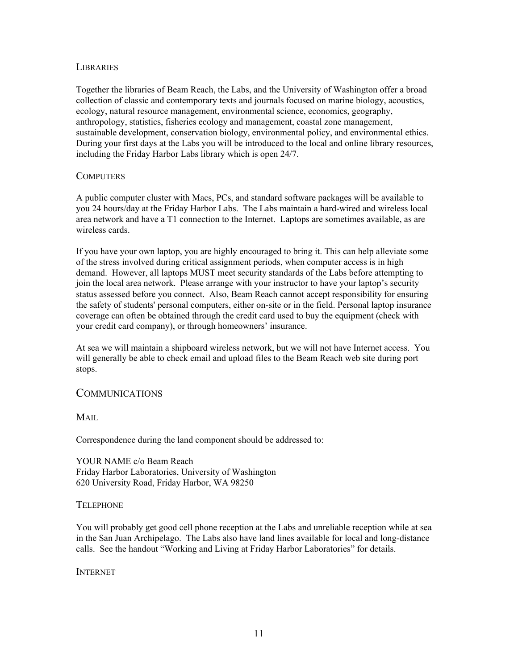## **LIBRARIES**

Together the libraries of Beam Reach, the Labs, and the University of Washington offer a broad collection of classic and contemporary texts and journals focused on marine biology, acoustics, ecology, natural resource management, environmental science, economics, geography, anthropology, statistics, fisheries ecology and management, coastal zone management, sustainable development, conservation biology, environmental policy, and environmental ethics. During your first days at the Labs you will be introduced to the local and online library resources, including the Friday Harbor Labs library which is open 24/7.

#### **COMPUTERS**

A public computer cluster with Macs, PCs, and standard software packages will be available to you 24 hours/day at the Friday Harbor Labs. The Labs maintain a hard-wired and wireless local area network and have a T1 connection to the Internet. Laptops are sometimes available, as are wireless cards.

If you have your own laptop, you are highly encouraged to bring it. This can help alleviate some of the stress involved during critical assignment periods, when computer access is in high demand. However, all laptops MUST meet security standards of the Labs before attempting to join the local area network. Please arrange with your instructor to have your laptop's security status assessed before you connect. Also, Beam Reach cannot accept responsibility for ensuring the safety of students' personal computers, either on-site or in the field. Personal laptop insurance coverage can often be obtained through the credit card used to buy the equipment (check with your credit card company), or through homeowners' insurance.

At sea we will maintain a shipboard wireless network, but we will not have Internet access. You will generally be able to check email and upload files to the Beam Reach web site during port stops.

## COMMUNICATIONS

MAIL

Correspondence during the land component should be addressed to:

YOUR NAME c/o Beam Reach Friday Harbor Laboratories, University of Washington 620 University Road, Friday Harbor, WA 98250

#### **TELEPHONE**

You will probably get good cell phone reception at the Labs and unreliable reception while at sea in the San Juan Archipelago. The Labs also have land lines available for local and long-distance calls. See the handout "Working and Living at Friday Harbor Laboratories" for details.

INTERNET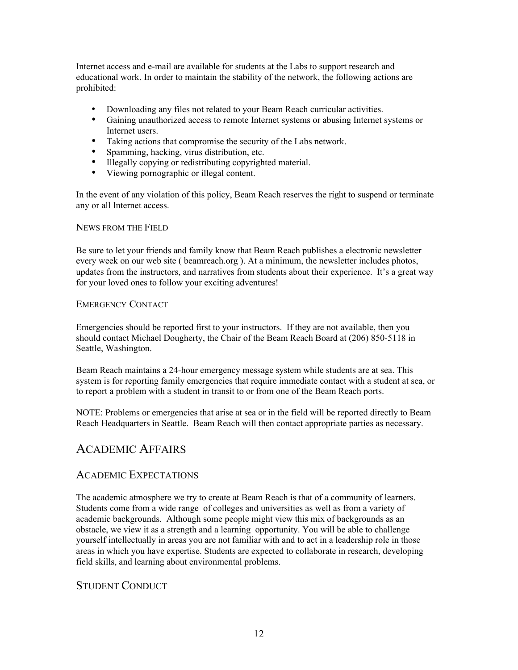Internet access and e-mail are available for students at the Labs to support research and educational work. In order to maintain the stability of the network, the following actions are prohibited:

- Downloading any files not related to your Beam Reach curricular activities.
- Gaining unauthorized access to remote Internet systems or abusing Internet systems or Internet users.
- Taking actions that compromise the security of the Labs network.
- Spamming, hacking, virus distribution, etc.
- Illegally copying or redistributing copyrighted material.
- Viewing pornographic or illegal content.

In the event of any violation of this policy, Beam Reach reserves the right to suspend or terminate any or all Internet access.

## NEWS FROM THE FIELD

Be sure to let your friends and family know that Beam Reach publishes a electronic newsletter every week on our web site ( beamreach.org ). At a minimum, the newsletter includes photos, updates from the instructors, and narratives from students about their experience. It's a great way for your loved ones to follow your exciting adventures!

## EMERGENCY CONTACT

Emergencies should be reported first to your instructors. If they are not available, then you should contact Michael Dougherty, the Chair of the Beam Reach Board at (206) 850-5118 in Seattle, Washington.

Beam Reach maintains a 24-hour emergency message system while students are at sea. This system is for reporting family emergencies that require immediate contact with a student at sea, or to report a problem with a student in transit to or from one of the Beam Reach ports.

NOTE: Problems or emergencies that arise at sea or in the field will be reported directly to Beam Reach Headquarters in Seattle. Beam Reach will then contact appropriate parties as necessary.

## ACADEMIC AFFAIRS

## ACADEMIC EXPECTATIONS

The academic atmosphere we try to create at Beam Reach is that of a community of learners. Students come from a wide range of colleges and universities as well as from a variety of academic backgrounds. Although some people might view this mix of backgrounds as an obstacle, we view it as a strength and a learning opportunity. You will be able to challenge yourself intellectually in areas you are not familiar with and to act in a leadership role in those areas in which you have expertise. Students are expected to collaborate in research, developing field skills, and learning about environmental problems.

## STUDENT CONDUCT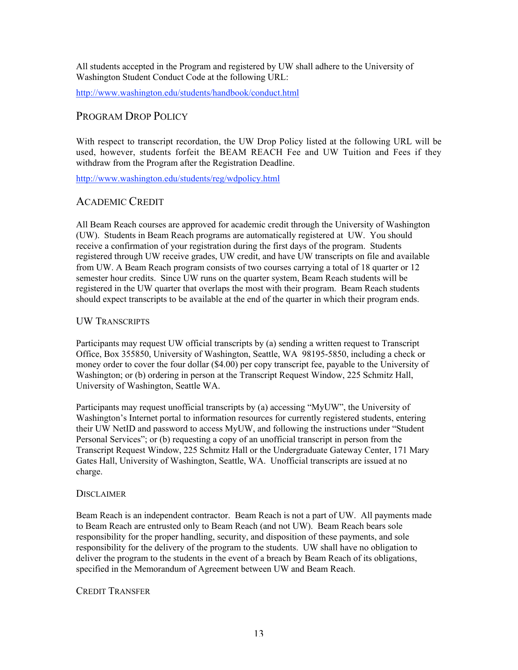All students accepted in the Program and registered by UW shall adhere to the University of Washington Student Conduct Code at the following URL:

http://www.washington.edu/students/handbook/conduct.html

## PROGRAM DROP POLICY

With respect to transcript recordation, the UW Drop Policy listed at the following URL will be used, however, students forfeit the BEAM REACH Fee and UW Tuition and Fees if they withdraw from the Program after the Registration Deadline.

http://www.washington.edu/students/reg/wdpolicy.html

## ACADEMIC CREDIT

All Beam Reach courses are approved for academic credit through the University of Washington (UW). Students in Beam Reach programs are automatically registered at UW. You should receive a confirmation of your registration during the first days of the program. Students registered through UW receive grades, UW credit, and have UW transcripts on file and available from UW. A Beam Reach program consists of two courses carrying a total of 18 quarter or 12 semester hour credits. Since UW runs on the quarter system, Beam Reach students will be registered in the UW quarter that overlaps the most with their program. Beam Reach students should expect transcripts to be available at the end of the quarter in which their program ends.

## UW TRANSCRIPTS

Participants may request UW official transcripts by (a) sending a written request to Transcript Office, Box 355850, University of Washington, Seattle, WA 98195-5850, including a check or money order to cover the four dollar (\$4.00) per copy transcript fee, payable to the University of Washington; or (b) ordering in person at the Transcript Request Window, 225 Schmitz Hall, University of Washington, Seattle WA.

Participants may request unofficial transcripts by (a) accessing "MyUW", the University of Washington's Internet portal to information resources for currently registered students, entering their UW NetID and password to access MyUW, and following the instructions under "Student Personal Services"; or (b) requesting a copy of an unofficial transcript in person from the Transcript Request Window, 225 Schmitz Hall or the Undergraduate Gateway Center, 171 Mary Gates Hall, University of Washington, Seattle, WA. Unofficial transcripts are issued at no charge.

## **DISCLAIMER**

Beam Reach is an independent contractor. Beam Reach is not a part of UW. All payments made to Beam Reach are entrusted only to Beam Reach (and not UW). Beam Reach bears sole responsibility for the proper handling, security, and disposition of these payments, and sole responsibility for the delivery of the program to the students. UW shall have no obligation to deliver the program to the students in the event of a breach by Beam Reach of its obligations, specified in the Memorandum of Agreement between UW and Beam Reach.

## CREDIT TRANSFER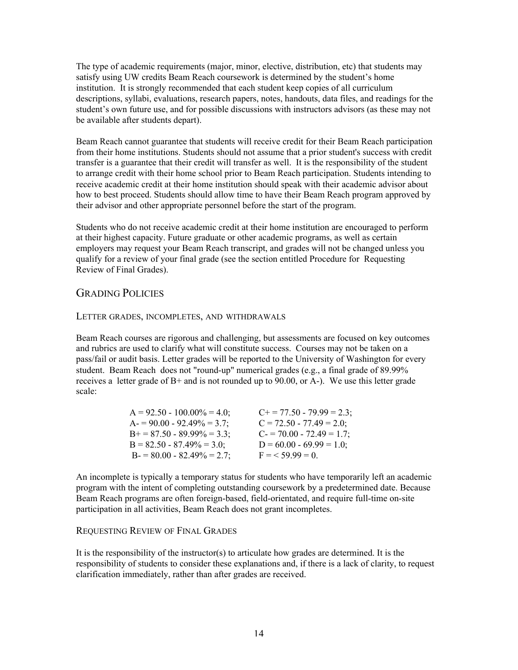The type of academic requirements (major, minor, elective, distribution, etc) that students may satisfy using UW credits Beam Reach coursework is determined by the student's home institution. It is strongly recommended that each student keep copies of all curriculum descriptions, syllabi, evaluations, research papers, notes, handouts, data files, and readings for the student's own future use, and for possible discussions with instructors advisors (as these may not be available after students depart).

Beam Reach cannot guarantee that students will receive credit for their Beam Reach participation from their home institutions. Students should not assume that a prior student's success with credit transfer is a guarantee that their credit will transfer as well. It is the responsibility of the student to arrange credit with their home school prior to Beam Reach participation. Students intending to receive academic credit at their home institution should speak with their academic advisor about how to best proceed. Students should allow time to have their Beam Reach program approved by their advisor and other appropriate personnel before the start of the program.

Students who do not receive academic credit at their home institution are encouraged to perform at their highest capacity. Future graduate or other academic programs, as well as certain employers may request your Beam Reach transcript, and grades will not be changed unless you qualify for a review of your final grade (see the section entitled Procedure for Requesting Review of Final Grades).

## GRADING POLICIES

## LETTER GRADES, INCOMPLETES, AND WITHDRAWALS

Beam Reach courses are rigorous and challenging, but assessments are focused on key outcomes and rubrics are used to clarify what will constitute success. Courses may not be taken on a pass/fail or audit basis. Letter grades will be reported to the University of Washington for every student. Beam Reach does not "round-up" numerical grades (e.g., a final grade of 89.99% receives a letter grade of  $B+$  and is not rounded up to 90.00, or  $A-$ ). We use this letter grade scale:

| $A = 92.50 - 100.00\% = 4.0$ ; | $C_{+}$ = 77.50 - 79.99 = 2.3; |
|--------------------------------|--------------------------------|
| $A = 90.00 - 92.49\% = 3.7$ ;  | $C = 72.50 - 77.49 = 2.0$ ;    |
| $B+=87.50-89.99\% = 3.3$ ;     | $C = 70.00 - 72.49 = 1.7$ ;    |
| $B = 82.50 - 87.49\% = 3.0$ ;  | $D = 60.00 - 69.99 = 1.0$ ;    |
| $B = 80.00 - 82.49\% = 2.7$ ;  | $F = 59.99 = 0$                |

An incomplete is typically a temporary status for students who have temporarily left an academic program with the intent of completing outstanding coursework by a predetermined date. Because Beam Reach programs are often foreign-based, field-orientated, and require full-time on-site participation in all activities, Beam Reach does not grant incompletes.

## REQUESTING REVIEW OF FINAL GRADES

It is the responsibility of the instructor(s) to articulate how grades are determined. It is the responsibility of students to consider these explanations and, if there is a lack of clarity, to request clarification immediately, rather than after grades are received.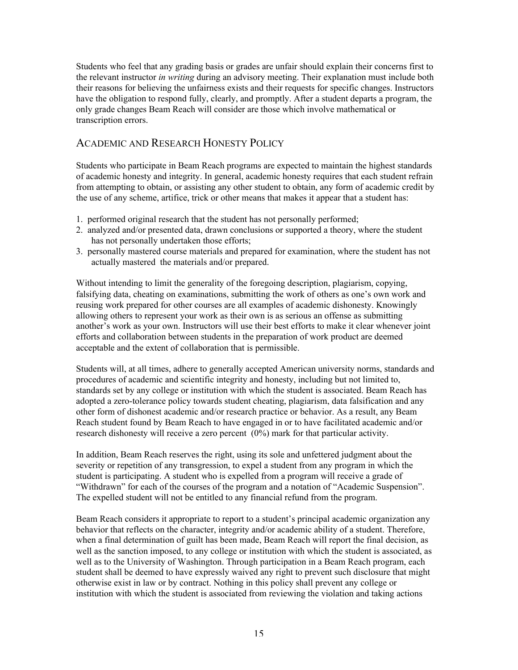Students who feel that any grading basis or grades are unfair should explain their concerns first to the relevant instructor *in writing* during an advisory meeting. Their explanation must include both their reasons for believing the unfairness exists and their requests for specific changes. Instructors have the obligation to respond fully, clearly, and promptly. After a student departs a program, the only grade changes Beam Reach will consider are those which involve mathematical or transcription errors.

## ACADEMIC AND RESEARCH HONESTY POLICY

Students who participate in Beam Reach programs are expected to maintain the highest standards of academic honesty and integrity. In general, academic honesty requires that each student refrain from attempting to obtain, or assisting any other student to obtain, any form of academic credit by the use of any scheme, artifice, trick or other means that makes it appear that a student has:

- 1. performed original research that the student has not personally performed;
- 2. analyzed and/or presented data, drawn conclusions or supported a theory, where the student has not personally undertaken those efforts;
- 3. personally mastered course materials and prepared for examination, where the student has not actually mastered the materials and/or prepared.

Without intending to limit the generality of the foregoing description, plagiarism, copying, falsifying data, cheating on examinations, submitting the work of others as one's own work and reusing work prepared for other courses are all examples of academic dishonesty. Knowingly allowing others to represent your work as their own is as serious an offense as submitting another's work as your own. Instructors will use their best efforts to make it clear whenever joint efforts and collaboration between students in the preparation of work product are deemed acceptable and the extent of collaboration that is permissible.

Students will, at all times, adhere to generally accepted American university norms, standards and procedures of academic and scientific integrity and honesty, including but not limited to, standards set by any college or institution with which the student is associated. Beam Reach has adopted a zero-tolerance policy towards student cheating, plagiarism, data falsification and any other form of dishonest academic and/or research practice or behavior. As a result, any Beam Reach student found by Beam Reach to have engaged in or to have facilitated academic and/or research dishonesty will receive a zero percent (0%) mark for that particular activity.

In addition, Beam Reach reserves the right, using its sole and unfettered judgment about the severity or repetition of any transgression, to expel a student from any program in which the student is participating. A student who is expelled from a program will receive a grade of "Withdrawn" for each of the courses of the program and a notation of "Academic Suspension". The expelled student will not be entitled to any financial refund from the program.

Beam Reach considers it appropriate to report to a student's principal academic organization any behavior that reflects on the character, integrity and/or academic ability of a student. Therefore, when a final determination of guilt has been made, Beam Reach will report the final decision, as well as the sanction imposed, to any college or institution with which the student is associated, as well as to the University of Washington. Through participation in a Beam Reach program, each student shall be deemed to have expressly waived any right to prevent such disclosure that might otherwise exist in law or by contract. Nothing in this policy shall prevent any college or institution with which the student is associated from reviewing the violation and taking actions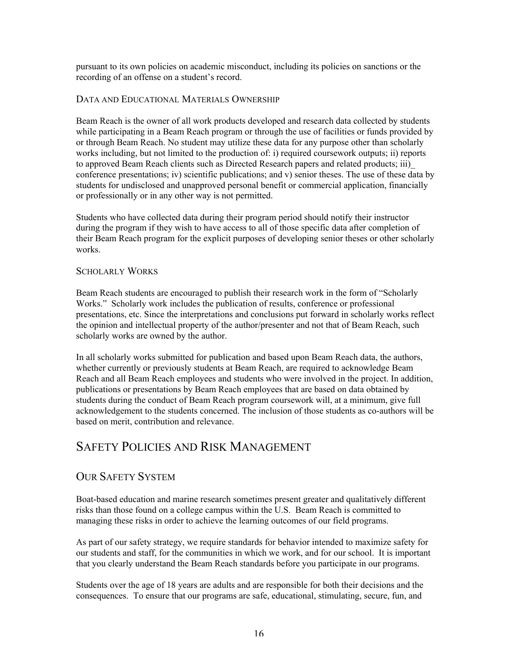pursuant to its own policies on academic misconduct, including its policies on sanctions or the recording of an offense on a student's record.

## DATA AND EDUCATIONAL MATERIALS OWNERSHIP

Beam Reach is the owner of all work products developed and research data collected by students while participating in a Beam Reach program or through the use of facilities or funds provided by or through Beam Reach. No student may utilize these data for any purpose other than scholarly works including, but not limited to the production of: i) required coursework outputs; ii) reports to approved Beam Reach clients such as Directed Research papers and related products; iii)\_ conference presentations; iv) scientific publications; and v) senior theses. The use of these data by students for undisclosed and unapproved personal benefit or commercial application, financially or professionally or in any other way is not permitted.

Students who have collected data during their program period should notify their instructor during the program if they wish to have access to all of those specific data after completion of their Beam Reach program for the explicit purposes of developing senior theses or other scholarly works.

## SCHOLARLY WORKS

Beam Reach students are encouraged to publish their research work in the form of "Scholarly Works." Scholarly work includes the publication of results, conference or professional presentations, etc. Since the interpretations and conclusions put forward in scholarly works reflect the opinion and intellectual property of the author/presenter and not that of Beam Reach, such scholarly works are owned by the author.

In all scholarly works submitted for publication and based upon Beam Reach data, the authors, whether currently or previously students at Beam Reach, are required to acknowledge Beam Reach and all Beam Reach employees and students who were involved in the project. In addition, publications or presentations by Beam Reach employees that are based on data obtained by students during the conduct of Beam Reach program coursework will, at a minimum, give full acknowledgement to the students concerned. The inclusion of those students as co-authors will be based on merit, contribution and relevance.

# SAFETY POLICIES AND RISK MANAGEMENT

## OUR SAFETY SYSTEM

Boat-based education and marine research sometimes present greater and qualitatively different risks than those found on a college campus within the U.S. Beam Reach is committed to managing these risks in order to achieve the learning outcomes of our field programs.

As part of our safety strategy, we require standards for behavior intended to maximize safety for our students and staff, for the communities in which we work, and for our school. It is important that you clearly understand the Beam Reach standards before you participate in our programs.

Students over the age of 18 years are adults and are responsible for both their decisions and the consequences. To ensure that our programs are safe, educational, stimulating, secure, fun, and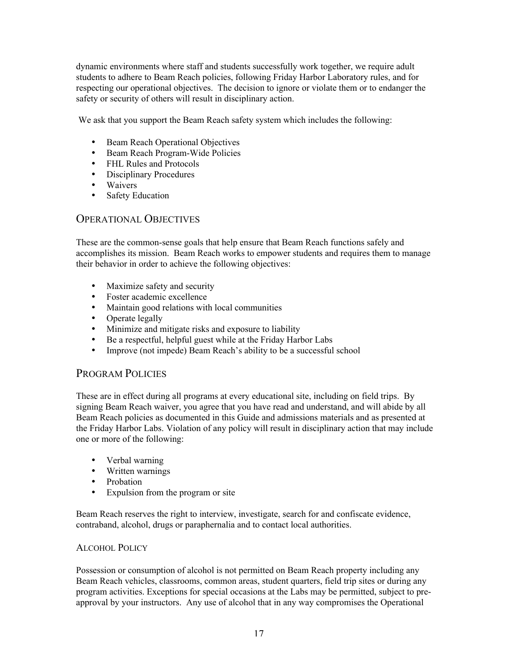dynamic environments where staff and students successfully work together, we require adult students to adhere to Beam Reach policies, following Friday Harbor Laboratory rules, and for respecting our operational objectives. The decision to ignore or violate them or to endanger the safety or security of others will result in disciplinary action.

We ask that you support the Beam Reach safety system which includes the following:

- Beam Reach Operational Objectives
- Beam Reach Program-Wide Policies
- FHL Rules and Protocols
- Disciplinary Procedures
- Waivers
- Safety Education

## OPERATIONAL OBJECTIVES

These are the common-sense goals that help ensure that Beam Reach functions safely and accomplishes its mission. Beam Reach works to empower students and requires them to manage their behavior in order to achieve the following objectives:

- Maximize safety and security
- Foster academic excellence
- Maintain good relations with local communities
- Operate legally
- Minimize and mitigate risks and exposure to liability
- Be a respectful, helpful guest while at the Friday Harbor Labs<br>• Improve (not impede) Beam Reach's ability to be a successful
- Improve (not impede) Beam Reach's ability to be a successful school

## PROGRAM POLICIES

These are in effect during all programs at every educational site, including on field trips. By signing Beam Reach waiver, you agree that you have read and understand, and will abide by all Beam Reach policies as documented in this Guide and admissions materials and as presented at the Friday Harbor Labs. Violation of any policy will result in disciplinary action that may include one or more of the following:

- Verbal warning
- Written warnings
- Probation
- Expulsion from the program or site

Beam Reach reserves the right to interview, investigate, search for and confiscate evidence, contraband, alcohol, drugs or paraphernalia and to contact local authorities.

## ALCOHOL POLICY

Possession or consumption of alcohol is not permitted on Beam Reach property including any Beam Reach vehicles, classrooms, common areas, student quarters, field trip sites or during any program activities. Exceptions for special occasions at the Labs may be permitted, subject to preapproval by your instructors. Any use of alcohol that in any way compromises the Operational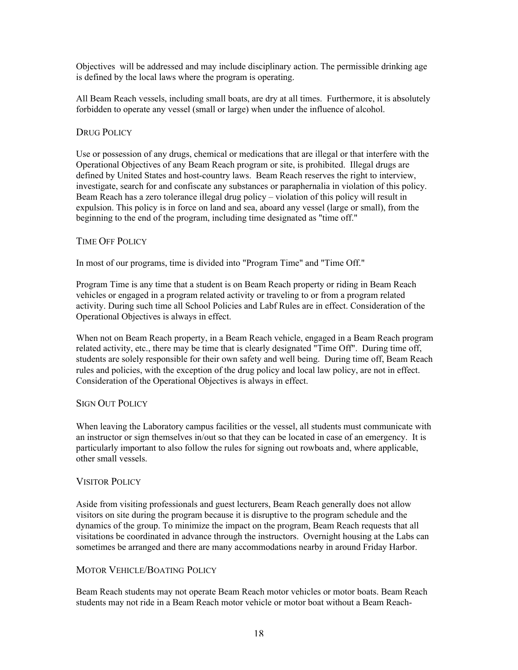Objectives will be addressed and may include disciplinary action. The permissible drinking age is defined by the local laws where the program is operating.

All Beam Reach vessels, including small boats, are dry at all times. Furthermore, it is absolutely forbidden to operate any vessel (small or large) when under the influence of alcohol.

## DRUG POLICY

Use or possession of any drugs, chemical or medications that are illegal or that interfere with the Operational Objectives of any Beam Reach program or site, is prohibited. Illegal drugs are defined by United States and host-country laws. Beam Reach reserves the right to interview, investigate, search for and confiscate any substances or paraphernalia in violation of this policy. Beam Reach has a zero tolerance illegal drug policy – violation of this policy will result in expulsion. This policy is in force on land and sea, aboard any vessel (large or small), from the beginning to the end of the program, including time designated as "time off."

## TIME OFF POLICY

In most of our programs, time is divided into "Program Time" and "Time Off."

Program Time is any time that a student is on Beam Reach property or riding in Beam Reach vehicles or engaged in a program related activity or traveling to or from a program related activity. During such time all School Policies and Labf Rules are in effect. Consideration of the Operational Objectives is always in effect.

When not on Beam Reach property, in a Beam Reach vehicle, engaged in a Beam Reach program related activity, etc., there may be time that is clearly designated "Time Off". During time off, students are solely responsible for their own safety and well being. During time off, Beam Reach rules and policies, with the exception of the drug policy and local law policy, are not in effect. Consideration of the Operational Objectives is always in effect.

## SIGN OUT POLICY

When leaving the Laboratory campus facilities or the vessel, all students must communicate with an instructor or sign themselves in/out so that they can be located in case of an emergency. It is particularly important to also follow the rules for signing out rowboats and, where applicable, other small vessels.

## VISITOR POLICY

Aside from visiting professionals and guest lecturers, Beam Reach generally does not allow visitors on site during the program because it is disruptive to the program schedule and the dynamics of the group. To minimize the impact on the program, Beam Reach requests that all visitations be coordinated in advance through the instructors. Overnight housing at the Labs can sometimes be arranged and there are many accommodations nearby in around Friday Harbor.

## MOTOR VEHICLE/BOATING POLICY

Beam Reach students may not operate Beam Reach motor vehicles or motor boats. Beam Reach students may not ride in a Beam Reach motor vehicle or motor boat without a Beam Reach-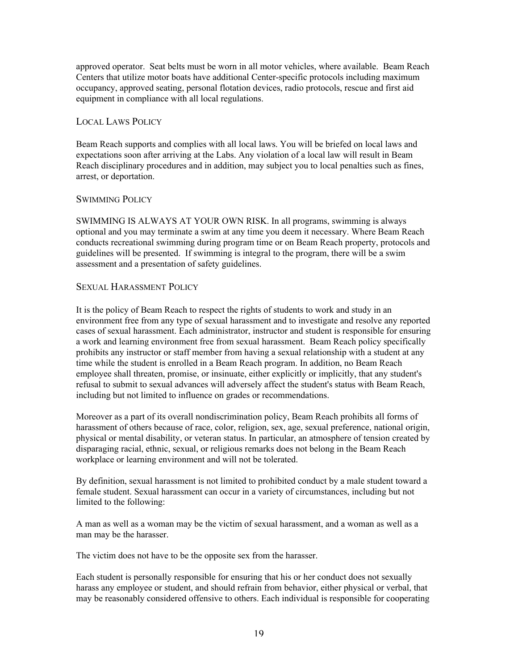approved operator. Seat belts must be worn in all motor vehicles, where available. Beam Reach Centers that utilize motor boats have additional Center-specific protocols including maximum occupancy, approved seating, personal flotation devices, radio protocols, rescue and first aid equipment in compliance with all local regulations.

## LOCAL LAWS POLICY

Beam Reach supports and complies with all local laws. You will be briefed on local laws and expectations soon after arriving at the Labs. Any violation of a local law will result in Beam Reach disciplinary procedures and in addition, may subject you to local penalties such as fines, arrest, or deportation.

## SWIMMING POLICY

SWIMMING IS ALWAYS AT YOUR OWN RISK. In all programs, swimming is always optional and you may terminate a swim at any time you deem it necessary. Where Beam Reach conducts recreational swimming during program time or on Beam Reach property, protocols and guidelines will be presented. If swimming is integral to the program, there will be a swim assessment and a presentation of safety guidelines.

## SEXUAL HARASSMENT POLICY

It is the policy of Beam Reach to respect the rights of students to work and study in an environment free from any type of sexual harassment and to investigate and resolve any reported cases of sexual harassment. Each administrator, instructor and student is responsible for ensuring a work and learning environment free from sexual harassment. Beam Reach policy specifically prohibits any instructor or staff member from having a sexual relationship with a student at any time while the student is enrolled in a Beam Reach program. In addition, no Beam Reach employee shall threaten, promise, or insinuate, either explicitly or implicitly, that any student's refusal to submit to sexual advances will adversely affect the student's status with Beam Reach, including but not limited to influence on grades or recommendations.

Moreover as a part of its overall nondiscrimination policy, Beam Reach prohibits all forms of harassment of others because of race, color, religion, sex, age, sexual preference, national origin, physical or mental disability, or veteran status. In particular, an atmosphere of tension created by disparaging racial, ethnic, sexual, or religious remarks does not belong in the Beam Reach workplace or learning environment and will not be tolerated.

By definition, sexual harassment is not limited to prohibited conduct by a male student toward a female student. Sexual harassment can occur in a variety of circumstances, including but not limited to the following:

A man as well as a woman may be the victim of sexual harassment, and a woman as well as a man may be the harasser.

The victim does not have to be the opposite sex from the harasser.

Each student is personally responsible for ensuring that his or her conduct does not sexually harass any employee or student, and should refrain from behavior, either physical or verbal, that may be reasonably considered offensive to others. Each individual is responsible for cooperating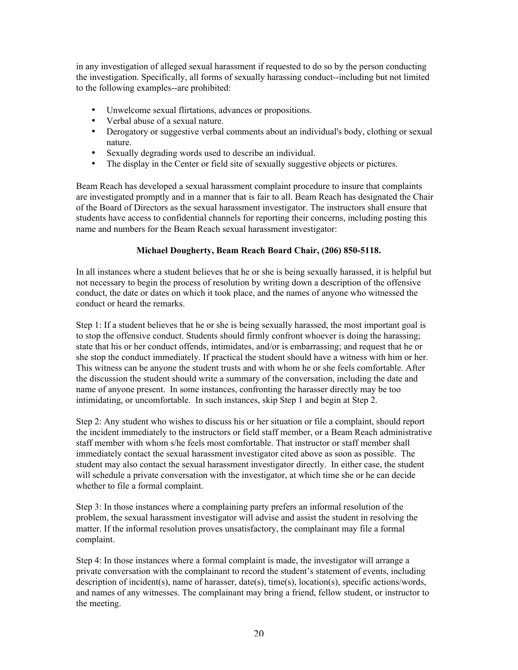in any investigation of alleged sexual harassment if requested to do so by the person conducting the investigation. Specifically, all forms of sexually harassing conduct--including but not limited to the following examples--are prohibited:

- Unwelcome sexual flirtations, advances or propositions.
- Verbal abuse of a sexual nature.
- Derogatory or suggestive verbal comments about an individual's body, clothing or sexual nature.
- Sexually degrading words used to describe an individual.
- The display in the Center or field site of sexually suggestive objects or pictures.

Beam Reach has developed a sexual harassment complaint procedure to insure that complaints are investigated promptly and in a manner that is fair to all. Beam Reach has designated the Chair of the Board of Directors as the sexual harassment investigator. The instructors shall ensure that students have access to confidential channels for reporting their concerns, including posting this name and numbers for the Beam Reach sexual harassment investigator:

## Michael Dougherty, Beam Reach Board Chair, (206) 850-5118.

In all instances where a student believes that he or she is being sexually harassed, it is helpful but not necessary to begin the process of resolution by writing down a description of the offensive conduct, the date or dates on which it took place, and the names of anyone who witnessed the conduct or heard the remarks.

Step 1: If a student believes that he or she is being sexually harassed, the most important goal is to stop the offensive conduct. Students should firmly confront whoever is doing the harassing; state that his or her conduct offends, intimidates, and/or is embarrassing; and request that he or she stop the conduct immediately. If practical the student should have a witness with him or her. This witness can be anyone the student trusts and with whom he or she feels comfortable. After the discussion the student should write a summary of the conversation, including the date and name of anyone present. In some instances, confronting the harasser directly may be too intimidating, or uncomfortable. In such instances, skip Step 1 and begin at Step 2.

Step 2: Any student who wishes to discuss his or her situation or file a complaint, should report the incident immediately to the instructors or field staff member, or a Beam Reach administrative staff member with whom s/he feels most comfortable. That instructor or staff member shall immediately contact the sexual harassment investigator cited above as soon as possible. The student may also contact the sexual harassment investigator directly. In either case, the student will schedule a private conversation with the investigator, at which time she or he can decide whether to file a formal complaint.

Step 3: In those instances where a complaining party prefers an informal resolution of the problem, the sexual harassment investigator will advise and assist the student in resolving the matter. If the informal resolution proves unsatisfactory, the complainant may file a formal complaint.

Step 4: In those instances where a formal complaint is made, the investigator will arrange a private conversation with the complainant to record the student's statement of events, including description of incident(s), name of harasser, date(s), time(s), location(s), specific actions/words, and names of any witnesses. The complainant may bring a friend, fellow student, or instructor to the meeting.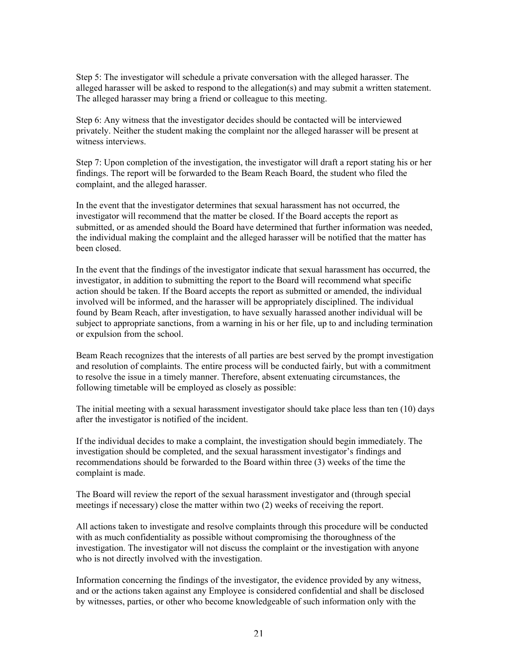Step 5: The investigator will schedule a private conversation with the alleged harasser. The alleged harasser will be asked to respond to the allegation(s) and may submit a written statement. The alleged harasser may bring a friend or colleague to this meeting.

Step 6: Any witness that the investigator decides should be contacted will be interviewed privately. Neither the student making the complaint nor the alleged harasser will be present at witness interviews.

Step 7: Upon completion of the investigation, the investigator will draft a report stating his or her findings. The report will be forwarded to the Beam Reach Board, the student who filed the complaint, and the alleged harasser.

In the event that the investigator determines that sexual harassment has not occurred, the investigator will recommend that the matter be closed. If the Board accepts the report as submitted, or as amended should the Board have determined that further information was needed, the individual making the complaint and the alleged harasser will be notified that the matter has been closed.

In the event that the findings of the investigator indicate that sexual harassment has occurred, the investigator, in addition to submitting the report to the Board will recommend what specific action should be taken. If the Board accepts the report as submitted or amended, the individual involved will be informed, and the harasser will be appropriately disciplined. The individual found by Beam Reach, after investigation, to have sexually harassed another individual will be subject to appropriate sanctions, from a warning in his or her file, up to and including termination or expulsion from the school.

Beam Reach recognizes that the interests of all parties are best served by the prompt investigation and resolution of complaints. The entire process will be conducted fairly, but with a commitment to resolve the issue in a timely manner. Therefore, absent extenuating circumstances, the following timetable will be employed as closely as possible:

The initial meeting with a sexual harassment investigator should take place less than ten (10) days after the investigator is notified of the incident.

If the individual decides to make a complaint, the investigation should begin immediately. The investigation should be completed, and the sexual harassment investigator's findings and recommendations should be forwarded to the Board within three (3) weeks of the time the complaint is made.

The Board will review the report of the sexual harassment investigator and (through special meetings if necessary) close the matter within two (2) weeks of receiving the report.

All actions taken to investigate and resolve complaints through this procedure will be conducted with as much confidentiality as possible without compromising the thoroughness of the investigation. The investigator will not discuss the complaint or the investigation with anyone who is not directly involved with the investigation.

Information concerning the findings of the investigator, the evidence provided by any witness, and or the actions taken against any Employee is considered confidential and shall be disclosed by witnesses, parties, or other who become knowledgeable of such information only with the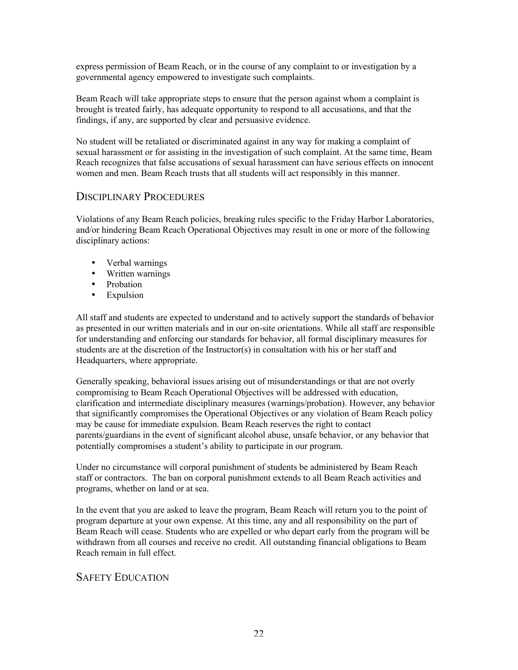express permission of Beam Reach, or in the course of any complaint to or investigation by a governmental agency empowered to investigate such complaints.

Beam Reach will take appropriate steps to ensure that the person against whom a complaint is brought is treated fairly, has adequate opportunity to respond to all accusations, and that the findings, if any, are supported by clear and persuasive evidence.

No student will be retaliated or discriminated against in any way for making a complaint of sexual harassment or for assisting in the investigation of such complaint. At the same time, Beam Reach recognizes that false accusations of sexual harassment can have serious effects on innocent women and men. Beam Reach trusts that all students will act responsibly in this manner.

## DISCIPLINARY PROCEDURES

Violations of any Beam Reach policies, breaking rules specific to the Friday Harbor Laboratories, and/or hindering Beam Reach Operational Objectives may result in one or more of the following disciplinary actions:

- Verbal warnings
- Written warnings
- Probation
- Expulsion

All staff and students are expected to understand and to actively support the standards of behavior as presented in our written materials and in our on-site orientations. While all staff are responsible for understanding and enforcing our standards for behavior, all formal disciplinary measures for students are at the discretion of the Instructor(s) in consultation with his or her staff and Headquarters, where appropriate.

Generally speaking, behavioral issues arising out of misunderstandings or that are not overly compromising to Beam Reach Operational Objectives will be addressed with education, clarification and intermediate disciplinary measures (warnings/probation). However, any behavior that significantly compromises the Operational Objectives or any violation of Beam Reach policy may be cause for immediate expulsion. Beam Reach reserves the right to contact parents/guardians in the event of significant alcohol abuse, unsafe behavior, or any behavior that potentially compromises a student's ability to participate in our program.

Under no circumstance will corporal punishment of students be administered by Beam Reach staff or contractors. The ban on corporal punishment extends to all Beam Reach activities and programs, whether on land or at sea.

In the event that you are asked to leave the program, Beam Reach will return you to the point of program departure at your own expense. At this time, any and all responsibility on the part of Beam Reach will cease. Students who are expelled or who depart early from the program will be withdrawn from all courses and receive no credit. All outstanding financial obligations to Beam Reach remain in full effect.

## SAFETY EDUCATION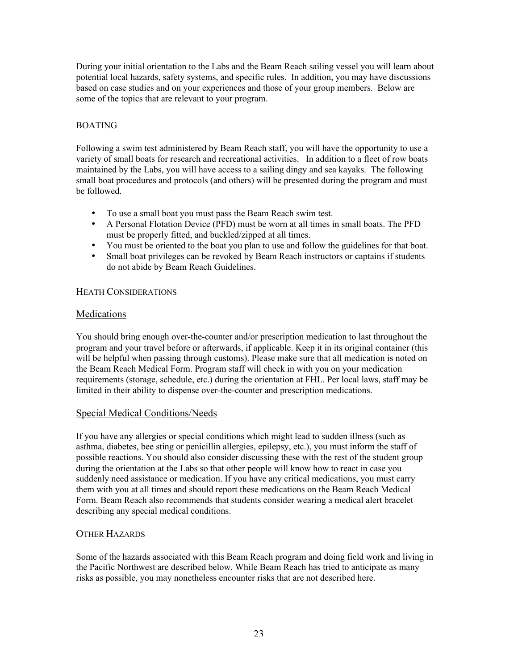During your initial orientation to the Labs and the Beam Reach sailing vessel you will learn about potential local hazards, safety systems, and specific rules. In addition, you may have discussions based on case studies and on your experiences and those of your group members. Below are some of the topics that are relevant to your program.

## BOATING

Following a swim test administered by Beam Reach staff, you will have the opportunity to use a variety of small boats for research and recreational activities. In addition to a fleet of row boats maintained by the Labs, you will have access to a sailing dingy and sea kayaks. The following small boat procedures and protocols (and others) will be presented during the program and must be followed.

- To use a small boat you must pass the Beam Reach swim test.
- A Personal Flotation Device (PFD) must be worn at all times in small boats. The PFD must be properly fitted, and buckled/zipped at all times.
- You must be oriented to the boat you plan to use and follow the guidelines for that boat.<br>• Small boat privileges can be revoked by Beam Reach instructors or captains if students
- Small boat privileges can be revoked by Beam Reach instructors or captains if students do not abide by Beam Reach Guidelines.

## HEATH CONSIDERATIONS

## Medications

You should bring enough over-the-counter and/or prescription medication to last throughout the program and your travel before or afterwards, if applicable. Keep it in its original container (this will be helpful when passing through customs). Please make sure that all medication is noted on the Beam Reach Medical Form. Program staff will check in with you on your medication requirements (storage, schedule, etc.) during the orientation at FHL. Per local laws, staff may be limited in their ability to dispense over-the-counter and prescription medications.

## Special Medical Conditions/Needs

If you have any allergies or special conditions which might lead to sudden illness (such as asthma, diabetes, bee sting or penicillin allergies, epilepsy, etc.), you must inform the staff of possible reactions. You should also consider discussing these with the rest of the student group during the orientation at the Labs so that other people will know how to react in case you suddenly need assistance or medication. If you have any critical medications, you must carry them with you at all times and should report these medications on the Beam Reach Medical Form. Beam Reach also recommends that students consider wearing a medical alert bracelet describing any special medical conditions.

## OTHER HAZARDS

Some of the hazards associated with this Beam Reach program and doing field work and living in the Pacific Northwest are described below. While Beam Reach has tried to anticipate as many risks as possible, you may nonetheless encounter risks that are not described here.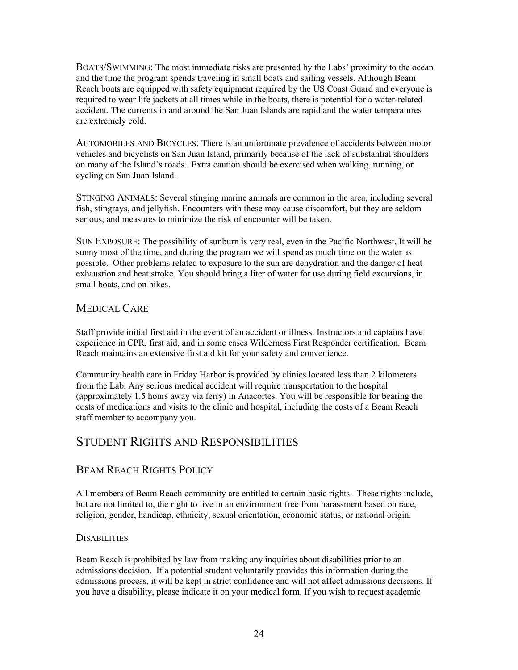BOATS/SWIMMING: The most immediate risks are presented by the Labs' proximity to the ocean and the time the program spends traveling in small boats and sailing vessels. Although Beam Reach boats are equipped with safety equipment required by the US Coast Guard and everyone is required to wear life jackets at all times while in the boats, there is potential for a water-related accident. The currents in and around the San Juan Islands are rapid and the water temperatures are extremely cold.

AUTOMOBILES AND BICYCLES: There is an unfortunate prevalence of accidents between motor vehicles and bicyclists on San Juan Island, primarily because of the lack of substantial shoulders on many of the Island's roads. Extra caution should be exercised when walking, running, or cycling on San Juan Island.

STINGING ANIMALS: Several stinging marine animals are common in the area, including several fish, stingrays, and jellyfish. Encounters with these may cause discomfort, but they are seldom serious, and measures to minimize the risk of encounter will be taken.

SUN EXPOSURE: The possibility of sunburn is very real, even in the Pacific Northwest. It will be sunny most of the time, and during the program we will spend as much time on the water as possible. Other problems related to exposure to the sun are dehydration and the danger of heat exhaustion and heat stroke. You should bring a liter of water for use during field excursions, in small boats, and on hikes.

## MEDICAL CARE

Staff provide initial first aid in the event of an accident or illness. Instructors and captains have experience in CPR, first aid, and in some cases Wilderness First Responder certification. Beam Reach maintains an extensive first aid kit for your safety and convenience.

Community health care in Friday Harbor is provided by clinics located less than 2 kilometers from the Lab. Any serious medical accident will require transportation to the hospital (approximately 1.5 hours away via ferry) in Anacortes. You will be responsible for bearing the costs of medications and visits to the clinic and hospital, including the costs of a Beam Reach staff member to accompany you.

## STUDENT RIGHTS AND RESPONSIBILITIES

## BEAM REACH RIGHTS POLICY

All members of Beam Reach community are entitled to certain basic rights. These rights include, but are not limited to, the right to live in an environment free from harassment based on race, religion, gender, handicap, ethnicity, sexual orientation, economic status, or national origin.

## **DISABILITIES**

Beam Reach is prohibited by law from making any inquiries about disabilities prior to an admissions decision. If a potential student voluntarily provides this information during the admissions process, it will be kept in strict confidence and will not affect admissions decisions. If you have a disability, please indicate it on your medical form. If you wish to request academic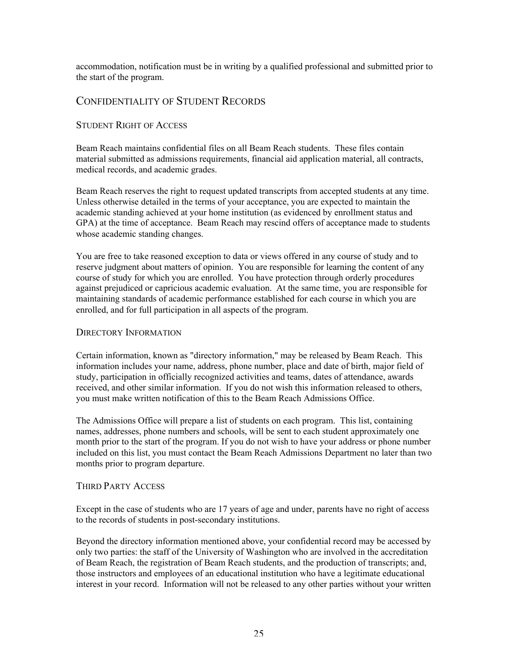accommodation, notification must be in writing by a qualified professional and submitted prior to the start of the program.

## CONFIDENTIALITY OF STUDENT RECORDS

## STUDENT RIGHT OF ACCESS

Beam Reach maintains confidential files on all Beam Reach students. These files contain material submitted as admissions requirements, financial aid application material, all contracts, medical records, and academic grades.

Beam Reach reserves the right to request updated transcripts from accepted students at any time. Unless otherwise detailed in the terms of your acceptance, you are expected to maintain the academic standing achieved at your home institution (as evidenced by enrollment status and GPA) at the time of acceptance. Beam Reach may rescind offers of acceptance made to students whose academic standing changes.

You are free to take reasoned exception to data or views offered in any course of study and to reserve judgment about matters of opinion. You are responsible for learning the content of any course of study for which you are enrolled. You have protection through orderly procedures against prejudiced or capricious academic evaluation. At the same time, you are responsible for maintaining standards of academic performance established for each course in which you are enrolled, and for full participation in all aspects of the program.

## DIRECTORY INFORMATION

Certain information, known as "directory information," may be released by Beam Reach. This information includes your name, address, phone number, place and date of birth, major field of study, participation in officially recognized activities and teams, dates of attendance, awards received, and other similar information. If you do not wish this information released to others, you must make written notification of this to the Beam Reach Admissions Office.

The Admissions Office will prepare a list of students on each program. This list, containing names, addresses, phone numbers and schools, will be sent to each student approximately one month prior to the start of the program. If you do not wish to have your address or phone number included on this list, you must contact the Beam Reach Admissions Department no later than two months prior to program departure.

## THIRD PARTY ACCESS

Except in the case of students who are 17 years of age and under, parents have no right of access to the records of students in post-secondary institutions.

Beyond the directory information mentioned above, your confidential record may be accessed by only two parties: the staff of the University of Washington who are involved in the accreditation of Beam Reach, the registration of Beam Reach students, and the production of transcripts; and, those instructors and employees of an educational institution who have a legitimate educational interest in your record. Information will not be released to any other parties without your written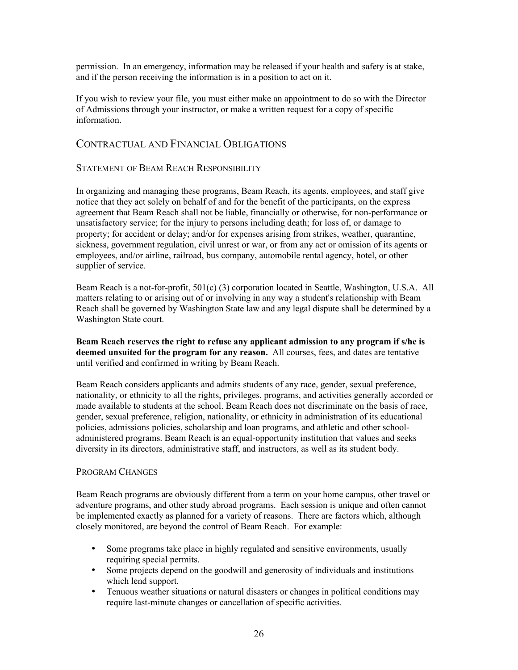permission. In an emergency, information may be released if your health and safety is at stake, and if the person receiving the information is in a position to act on it.

If you wish to review your file, you must either make an appointment to do so with the Director of Admissions through your instructor, or make a written request for a copy of specific information.

## CONTRACTUAL AND FINANCIAL OBLIGATIONS

## STATEMENT OF BEAM REACH RESPONSIBILITY

In organizing and managing these programs, Beam Reach, its agents, employees, and staff give notice that they act solely on behalf of and for the benefit of the participants, on the express agreement that Beam Reach shall not be liable, financially or otherwise, for non-performance or unsatisfactory service; for the injury to persons including death; for loss of, or damage to property; for accident or delay; and/or for expenses arising from strikes, weather, quarantine, sickness, government regulation, civil unrest or war, or from any act or omission of its agents or employees, and/or airline, railroad, bus company, automobile rental agency, hotel, or other supplier of service.

Beam Reach is a not-for-profit, 501(c) (3) corporation located in Seattle, Washington, U.S.A. All matters relating to or arising out of or involving in any way a student's relationship with Beam Reach shall be governed by Washington State law and any legal dispute shall be determined by a Washington State court.

Beam Reach reserves the right to refuse any applicant admission to any program if s/he is deemed unsuited for the program for any reason. All courses, fees, and dates are tentative until verified and confirmed in writing by Beam Reach.

Beam Reach considers applicants and admits students of any race, gender, sexual preference, nationality, or ethnicity to all the rights, privileges, programs, and activities generally accorded or made available to students at the school. Beam Reach does not discriminate on the basis of race, gender, sexual preference, religion, nationality, or ethnicity in administration of its educational policies, admissions policies, scholarship and loan programs, and athletic and other schooladministered programs. Beam Reach is an equal-opportunity institution that values and seeks diversity in its directors, administrative staff, and instructors, as well as its student body.

## PROGRAM CHANGES

Beam Reach programs are obviously different from a term on your home campus, other travel or adventure programs, and other study abroad programs. Each session is unique and often cannot be implemented exactly as planned for a variety of reasons. There are factors which, although closely monitored, are beyond the control of Beam Reach. For example:

- Some programs take place in highly regulated and sensitive environments, usually requiring special permits.
- Some projects depend on the goodwill and generosity of individuals and institutions which lend support.
- Tenuous weather situations or natural disasters or changes in political conditions may require last-minute changes or cancellation of specific activities.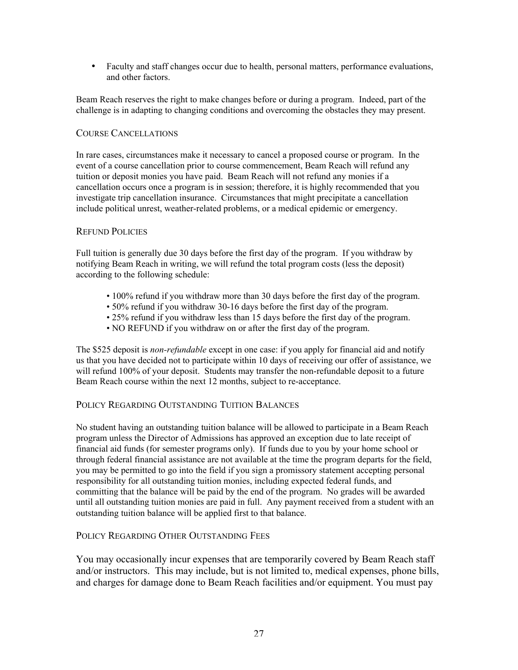• Faculty and staff changes occur due to health, personal matters, performance evaluations, and other factors.

Beam Reach reserves the right to make changes before or during a program. Indeed, part of the challenge is in adapting to changing conditions and overcoming the obstacles they may present.

## COURSE CANCELLATIONS

In rare cases, circumstances make it necessary to cancel a proposed course or program. In the event of a course cancellation prior to course commencement, Beam Reach will refund any tuition or deposit monies you have paid. Beam Reach will not refund any monies if a cancellation occurs once a program is in session; therefore, it is highly recommended that you investigate trip cancellation insurance. Circumstances that might precipitate a cancellation include political unrest, weather-related problems, or a medical epidemic or emergency.

## REFUND POLICIES

Full tuition is generally due 30 days before the first day of the program. If you withdraw by notifying Beam Reach in writing, we will refund the total program costs (less the deposit) according to the following schedule:

- 100% refund if you withdraw more than 30 days before the first day of the program.
- 50% refund if you withdraw 30-16 days before the first day of the program.
- 25% refund if you withdraw less than 15 days before the first day of the program.
- NO REFUND if you withdraw on or after the first day of the program.

The \$525 deposit is *non-refundable* except in one case: if you apply for financial aid and notify us that you have decided not to participate within 10 days of receiving our offer of assistance, we will refund 100% of your deposit. Students may transfer the non-refundable deposit to a future Beam Reach course within the next 12 months, subject to re-acceptance.

## POLICY REGARDING OUTSTANDING TUITION BALANCES

No student having an outstanding tuition balance will be allowed to participate in a Beam Reach program unless the Director of Admissions has approved an exception due to late receipt of financial aid funds (for semester programs only). If funds due to you by your home school or through federal financial assistance are not available at the time the program departs for the field, you may be permitted to go into the field if you sign a promissory statement accepting personal responsibility for all outstanding tuition monies, including expected federal funds, and committing that the balance will be paid by the end of the program. No grades will be awarded until all outstanding tuition monies are paid in full. Any payment received from a student with an outstanding tuition balance will be applied first to that balance.

## POLICY REGARDING OTHER OUTSTANDING FEES

You may occasionally incur expenses that are temporarily covered by Beam Reach staff and/or instructors. This may include, but is not limited to, medical expenses, phone bills, and charges for damage done to Beam Reach facilities and/or equipment. You must pay